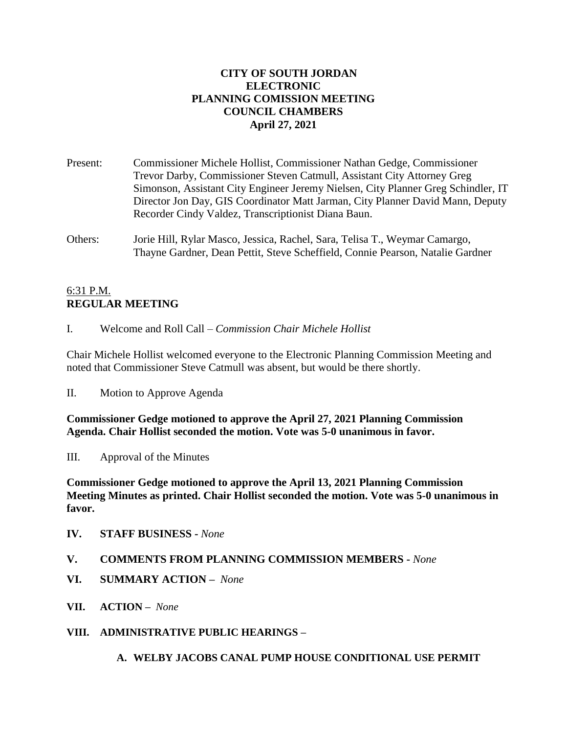# **CITY OF SOUTH JORDAN ELECTRONIC PLANNING COMISSION MEETING COUNCIL CHAMBERS April 27, 2021**

Present: Commissioner Michele Hollist, Commissioner Nathan Gedge, Commissioner Trevor Darby, Commissioner Steven Catmull, Assistant City Attorney Greg Simonson, Assistant City Engineer Jeremy Nielsen, City Planner Greg Schindler, IT Director Jon Day, GIS Coordinator Matt Jarman, City Planner David Mann, Deputy Recorder Cindy Valdez, Transcriptionist Diana Baun.

Others: Jorie Hill, Rylar Masco, Jessica, Rachel, Sara, Telisa T., Weymar Camargo, Thayne Gardner, Dean Pettit, Steve Scheffield, Connie Pearson, Natalie Gardner

# 6:31 P.M. **REGULAR MEETING**

I. Welcome and Roll Call – *Commission Chair Michele Hollist*

Chair Michele Hollist welcomed everyone to the Electronic Planning Commission Meeting and noted that Commissioner Steve Catmull was absent, but would be there shortly.

II. Motion to Approve Agenda

**Commissioner Gedge motioned to approve the April 27, 2021 Planning Commission Agenda. Chair Hollist seconded the motion. Vote was 5-0 unanimous in favor.**

III. Approval of the Minutes

**Commissioner Gedge motioned to approve the April 13, 2021 Planning Commission Meeting Minutes as printed. Chair Hollist seconded the motion. Vote was 5-0 unanimous in favor.**

- **IV. STAFF BUSINESS -** *None*
- **V. COMMENTS FROM PLANNING COMMISSION MEMBERS -** *None*
- **VI. SUMMARY ACTION –** *None*
- **VII. ACTION –** *None*
- **VIII. ADMINISTRATIVE PUBLIC HEARINGS –**

**A. WELBY JACOBS CANAL PUMP HOUSE CONDITIONAL USE PERMIT**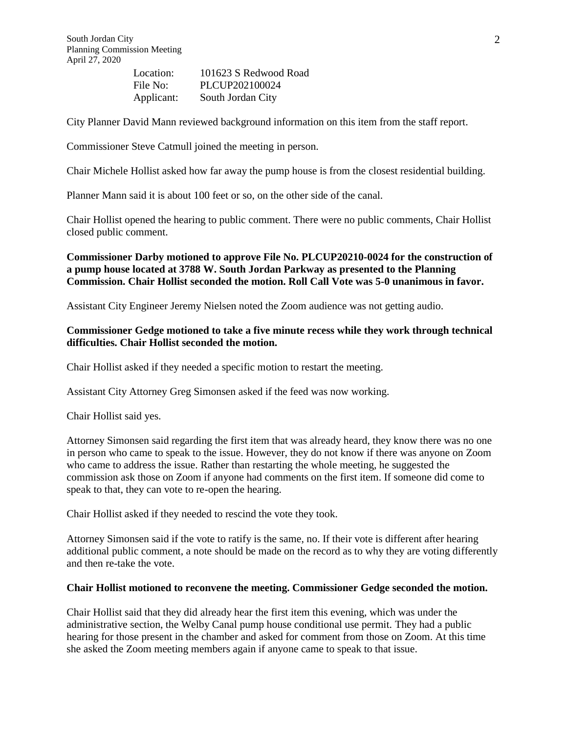| Location:  | 101623 S Redwood Road |
|------------|-----------------------|
| File No:   | PLCUP202100024        |
| Applicant: | South Jordan City     |

City Planner David Mann reviewed background information on this item from the staff report.

Commissioner Steve Catmull joined the meeting in person.

Chair Michele Hollist asked how far away the pump house is from the closest residential building.

Planner Mann said it is about 100 feet or so, on the other side of the canal.

Chair Hollist opened the hearing to public comment. There were no public comments, Chair Hollist closed public comment.

**Commissioner Darby motioned to approve File No. PLCUP20210-0024 for the construction of a pump house located at 3788 W. South Jordan Parkway as presented to the Planning Commission. Chair Hollist seconded the motion. Roll Call Vote was 5-0 unanimous in favor.** 

Assistant City Engineer Jeremy Nielsen noted the Zoom audience was not getting audio.

#### **Commissioner Gedge motioned to take a five minute recess while they work through technical difficulties. Chair Hollist seconded the motion.**

Chair Hollist asked if they needed a specific motion to restart the meeting.

Assistant City Attorney Greg Simonsen asked if the feed was now working.

Chair Hollist said yes.

Attorney Simonsen said regarding the first item that was already heard, they know there was no one in person who came to speak to the issue. However, they do not know if there was anyone on Zoom who came to address the issue. Rather than restarting the whole meeting, he suggested the commission ask those on Zoom if anyone had comments on the first item. If someone did come to speak to that, they can vote to re-open the hearing.

Chair Hollist asked if they needed to rescind the vote they took.

Attorney Simonsen said if the vote to ratify is the same, no. If their vote is different after hearing additional public comment, a note should be made on the record as to why they are voting differently and then re-take the vote.

#### **Chair Hollist motioned to reconvene the meeting. Commissioner Gedge seconded the motion.**

Chair Hollist said that they did already hear the first item this evening, which was under the administrative section, the Welby Canal pump house conditional use permit. They had a public hearing for those present in the chamber and asked for comment from those on Zoom. At this time she asked the Zoom meeting members again if anyone came to speak to that issue.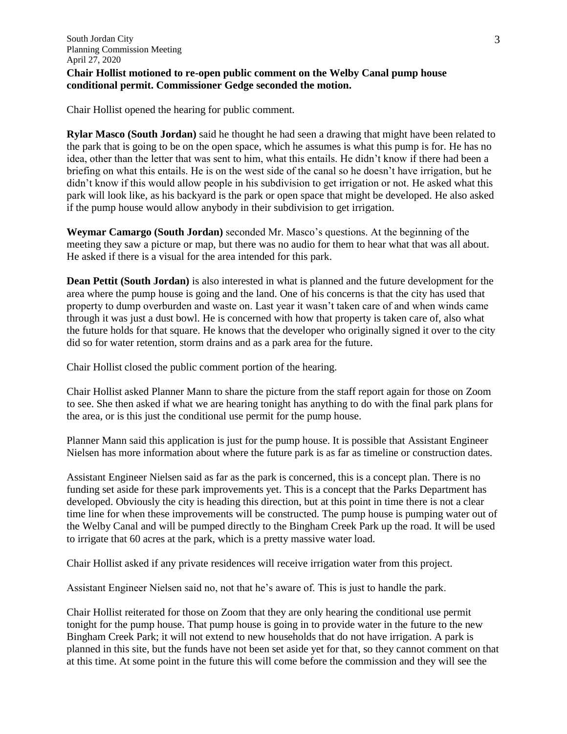### **Chair Hollist motioned to re-open public comment on the Welby Canal pump house conditional permit. Commissioner Gedge seconded the motion.**

Chair Hollist opened the hearing for public comment.

**Rylar Masco (South Jordan)** said he thought he had seen a drawing that might have been related to the park that is going to be on the open space, which he assumes is what this pump is for. He has no idea, other than the letter that was sent to him, what this entails. He didn't know if there had been a briefing on what this entails. He is on the west side of the canal so he doesn't have irrigation, but he didn't know if this would allow people in his subdivision to get irrigation or not. He asked what this park will look like, as his backyard is the park or open space that might be developed. He also asked if the pump house would allow anybody in their subdivision to get irrigation.

**Weymar Camargo (South Jordan)** seconded Mr. Masco's questions. At the beginning of the meeting they saw a picture or map, but there was no audio for them to hear what that was all about. He asked if there is a visual for the area intended for this park.

**Dean Pettit (South Jordan)** is also interested in what is planned and the future development for the area where the pump house is going and the land. One of his concerns is that the city has used that property to dump overburden and waste on. Last year it wasn't taken care of and when winds came through it was just a dust bowl. He is concerned with how that property is taken care of, also what the future holds for that square. He knows that the developer who originally signed it over to the city did so for water retention, storm drains and as a park area for the future.

Chair Hollist closed the public comment portion of the hearing.

Chair Hollist asked Planner Mann to share the picture from the staff report again for those on Zoom to see. She then asked if what we are hearing tonight has anything to do with the final park plans for the area, or is this just the conditional use permit for the pump house.

Planner Mann said this application is just for the pump house. It is possible that Assistant Engineer Nielsen has more information about where the future park is as far as timeline or construction dates.

Assistant Engineer Nielsen said as far as the park is concerned, this is a concept plan. There is no funding set aside for these park improvements yet. This is a concept that the Parks Department has developed. Obviously the city is heading this direction, but at this point in time there is not a clear time line for when these improvements will be constructed. The pump house is pumping water out of the Welby Canal and will be pumped directly to the Bingham Creek Park up the road. It will be used to irrigate that 60 acres at the park, which is a pretty massive water load.

Chair Hollist asked if any private residences will receive irrigation water from this project.

Assistant Engineer Nielsen said no, not that he's aware of. This is just to handle the park.

Chair Hollist reiterated for those on Zoom that they are only hearing the conditional use permit tonight for the pump house. That pump house is going in to provide water in the future to the new Bingham Creek Park; it will not extend to new households that do not have irrigation. A park is planned in this site, but the funds have not been set aside yet for that, so they cannot comment on that at this time. At some point in the future this will come before the commission and they will see the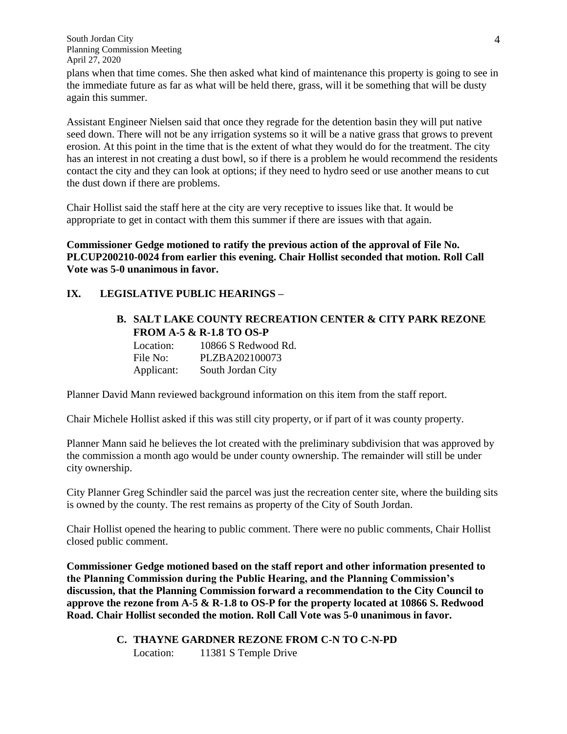South Jordan City Planning Commission Meeting April 27, 2020

plans when that time comes. She then asked what kind of maintenance this property is going to see in the immediate future as far as what will be held there, grass, will it be something that will be dusty again this summer.

Assistant Engineer Nielsen said that once they regrade for the detention basin they will put native seed down. There will not be any irrigation systems so it will be a native grass that grows to prevent erosion. At this point in the time that is the extent of what they would do for the treatment. The city has an interest in not creating a dust bowl, so if there is a problem he would recommend the residents contact the city and they can look at options; if they need to hydro seed or use another means to cut the dust down if there are problems.

Chair Hollist said the staff here at the city are very receptive to issues like that. It would be appropriate to get in contact with them this summer if there are issues with that again.

**Commissioner Gedge motioned to ratify the previous action of the approval of File No. PLCUP200210-0024 from earlier this evening. Chair Hollist seconded that motion. Roll Call Vote was 5-0 unanimous in favor.**

#### **IX. LEGISLATIVE PUBLIC HEARINGS –**

#### **B. SALT LAKE COUNTY RECREATION CENTER & CITY PARK REZONE FROM A-5 & R-1.8 TO OS-P**

| Location:  | 10866 S Redwood Rd. |
|------------|---------------------|
| File No:   | PLZBA202100073      |
| Applicant: | South Jordan City   |

Planner David Mann reviewed background information on this item from the staff report.

Chair Michele Hollist asked if this was still city property, or if part of it was county property.

Planner Mann said he believes the lot created with the preliminary subdivision that was approved by the commission a month ago would be under county ownership. The remainder will still be under city ownership.

City Planner Greg Schindler said the parcel was just the recreation center site, where the building sits is owned by the county. The rest remains as property of the City of South Jordan.

Chair Hollist opened the hearing to public comment. There were no public comments, Chair Hollist closed public comment.

**Commissioner Gedge motioned based on the staff report and other information presented to the Planning Commission during the Public Hearing, and the Planning Commission's discussion, that the Planning Commission forward a recommendation to the City Council to approve the rezone from A-5 & R-1.8 to OS-P for the property located at 10866 S. Redwood Road. Chair Hollist seconded the motion. Roll Call Vote was 5-0 unanimous in favor.**

> **C. THAYNE GARDNER REZONE FROM C-N TO C-N-PD** Location: 11381 S Temple Drive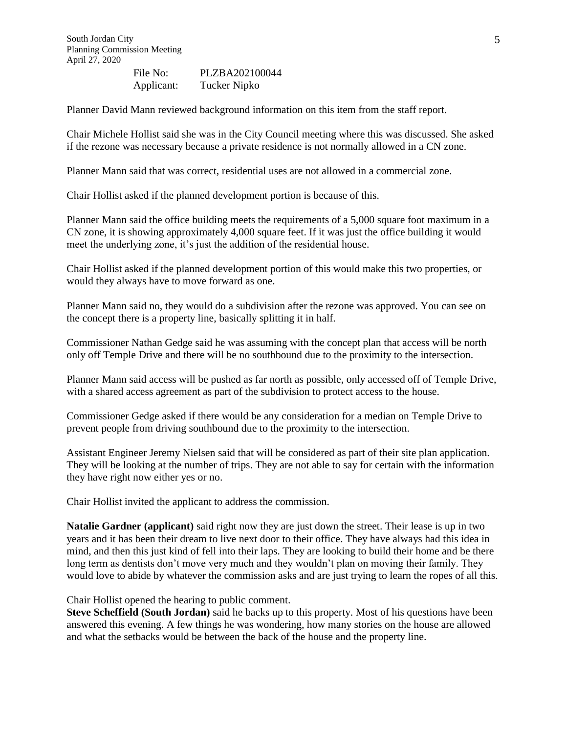File No: PLZBA202100044 Applicant: Tucker Nipko

Planner David Mann reviewed background information on this item from the staff report.

Chair Michele Hollist said she was in the City Council meeting where this was discussed. She asked if the rezone was necessary because a private residence is not normally allowed in a CN zone.

Planner Mann said that was correct, residential uses are not allowed in a commercial zone.

Chair Hollist asked if the planned development portion is because of this.

Planner Mann said the office building meets the requirements of a 5,000 square foot maximum in a CN zone, it is showing approximately 4,000 square feet. If it was just the office building it would meet the underlying zone, it's just the addition of the residential house.

Chair Hollist asked if the planned development portion of this would make this two properties, or would they always have to move forward as one.

Planner Mann said no, they would do a subdivision after the rezone was approved. You can see on the concept there is a property line, basically splitting it in half.

Commissioner Nathan Gedge said he was assuming with the concept plan that access will be north only off Temple Drive and there will be no southbound due to the proximity to the intersection.

Planner Mann said access will be pushed as far north as possible, only accessed off of Temple Drive, with a shared access agreement as part of the subdivision to protect access to the house.

Commissioner Gedge asked if there would be any consideration for a median on Temple Drive to prevent people from driving southbound due to the proximity to the intersection.

Assistant Engineer Jeremy Nielsen said that will be considered as part of their site plan application. They will be looking at the number of trips. They are not able to say for certain with the information they have right now either yes or no.

Chair Hollist invited the applicant to address the commission.

**Natalie Gardner (applicant)** said right now they are just down the street. Their lease is up in two years and it has been their dream to live next door to their office. They have always had this idea in mind, and then this just kind of fell into their laps. They are looking to build their home and be there long term as dentists don't move very much and they wouldn't plan on moving their family. They would love to abide by whatever the commission asks and are just trying to learn the ropes of all this.

Chair Hollist opened the hearing to public comment.

**Steve Scheffield (South Jordan)** said he backs up to this property. Most of his questions have been answered this evening. A few things he was wondering, how many stories on the house are allowed and what the setbacks would be between the back of the house and the property line.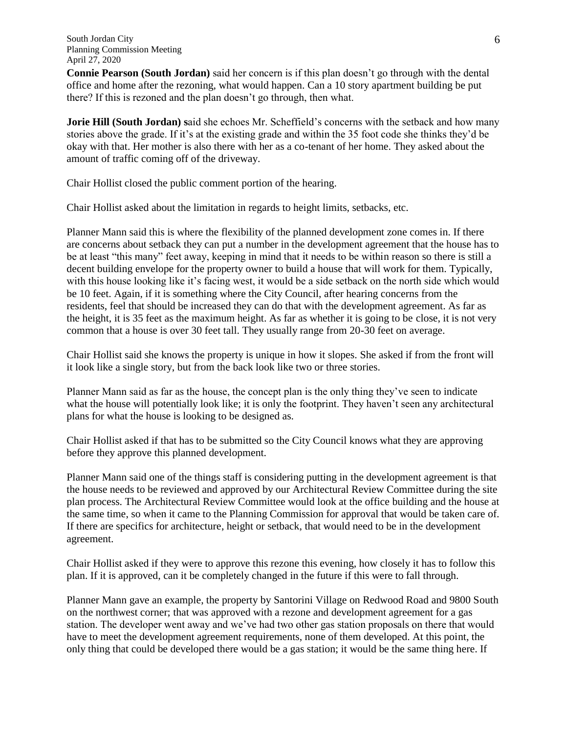**Connie Pearson (South Jordan)** said her concern is if this plan doesn't go through with the dental office and home after the rezoning, what would happen. Can a 10 story apartment building be put there? If this is rezoned and the plan doesn't go through, then what.

**Jorie Hill (South Jordan) s**aid she echoes Mr. Scheffield's concerns with the setback and how many stories above the grade. If it's at the existing grade and within the 35 foot code she thinks they'd be okay with that. Her mother is also there with her as a co-tenant of her home. They asked about the amount of traffic coming off of the driveway.

Chair Hollist closed the public comment portion of the hearing.

Chair Hollist asked about the limitation in regards to height limits, setbacks, etc.

Planner Mann said this is where the flexibility of the planned development zone comes in. If there are concerns about setback they can put a number in the development agreement that the house has to be at least "this many" feet away, keeping in mind that it needs to be within reason so there is still a decent building envelope for the property owner to build a house that will work for them. Typically, with this house looking like it's facing west, it would be a side setback on the north side which would be 10 feet. Again, if it is something where the City Council, after hearing concerns from the residents, feel that should be increased they can do that with the development agreement. As far as the height, it is 35 feet as the maximum height. As far as whether it is going to be close, it is not very common that a house is over 30 feet tall. They usually range from 20-30 feet on average.

Chair Hollist said she knows the property is unique in how it slopes. She asked if from the front will it look like a single story, but from the back look like two or three stories.

Planner Mann said as far as the house, the concept plan is the only thing they've seen to indicate what the house will potentially look like; it is only the footprint. They haven't seen any architectural plans for what the house is looking to be designed as.

Chair Hollist asked if that has to be submitted so the City Council knows what they are approving before they approve this planned development.

Planner Mann said one of the things staff is considering putting in the development agreement is that the house needs to be reviewed and approved by our Architectural Review Committee during the site plan process. The Architectural Review Committee would look at the office building and the house at the same time, so when it came to the Planning Commission for approval that would be taken care of. If there are specifics for architecture, height or setback, that would need to be in the development agreement.

Chair Hollist asked if they were to approve this rezone this evening, how closely it has to follow this plan. If it is approved, can it be completely changed in the future if this were to fall through.

Planner Mann gave an example, the property by Santorini Village on Redwood Road and 9800 South on the northwest corner; that was approved with a rezone and development agreement for a gas station. The developer went away and we've had two other gas station proposals on there that would have to meet the development agreement requirements, none of them developed. At this point, the only thing that could be developed there would be a gas station; it would be the same thing here. If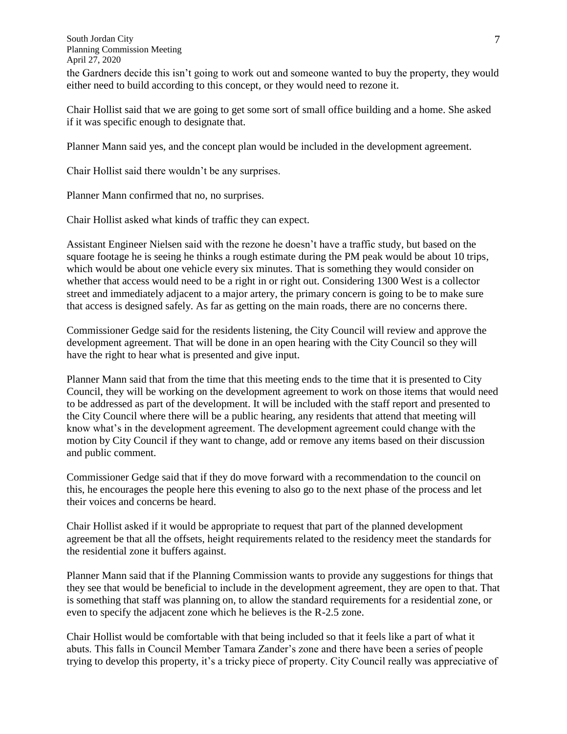South Jordan City Planning Commission Meeting April 27, 2020

the Gardners decide this isn't going to work out and someone wanted to buy the property, they would either need to build according to this concept, or they would need to rezone it.

Chair Hollist said that we are going to get some sort of small office building and a home. She asked if it was specific enough to designate that.

Planner Mann said yes, and the concept plan would be included in the development agreement.

Chair Hollist said there wouldn't be any surprises.

Planner Mann confirmed that no, no surprises.

Chair Hollist asked what kinds of traffic they can expect.

Assistant Engineer Nielsen said with the rezone he doesn't have a traffic study, but based on the square footage he is seeing he thinks a rough estimate during the PM peak would be about 10 trips, which would be about one vehicle every six minutes. That is something they would consider on whether that access would need to be a right in or right out. Considering 1300 West is a collector street and immediately adjacent to a major artery, the primary concern is going to be to make sure that access is designed safely. As far as getting on the main roads, there are no concerns there.

Commissioner Gedge said for the residents listening, the City Council will review and approve the development agreement. That will be done in an open hearing with the City Council so they will have the right to hear what is presented and give input.

Planner Mann said that from the time that this meeting ends to the time that it is presented to City Council, they will be working on the development agreement to work on those items that would need to be addressed as part of the development. It will be included with the staff report and presented to the City Council where there will be a public hearing, any residents that attend that meeting will know what's in the development agreement. The development agreement could change with the motion by City Council if they want to change, add or remove any items based on their discussion and public comment.

Commissioner Gedge said that if they do move forward with a recommendation to the council on this, he encourages the people here this evening to also go to the next phase of the process and let their voices and concerns be heard.

Chair Hollist asked if it would be appropriate to request that part of the planned development agreement be that all the offsets, height requirements related to the residency meet the standards for the residential zone it buffers against.

Planner Mann said that if the Planning Commission wants to provide any suggestions for things that they see that would be beneficial to include in the development agreement, they are open to that. That is something that staff was planning on, to allow the standard requirements for a residential zone, or even to specify the adjacent zone which he believes is the R-2.5 zone.

Chair Hollist would be comfortable with that being included so that it feels like a part of what it abuts. This falls in Council Member Tamara Zander's zone and there have been a series of people trying to develop this property, it's a tricky piece of property. City Council really was appreciative of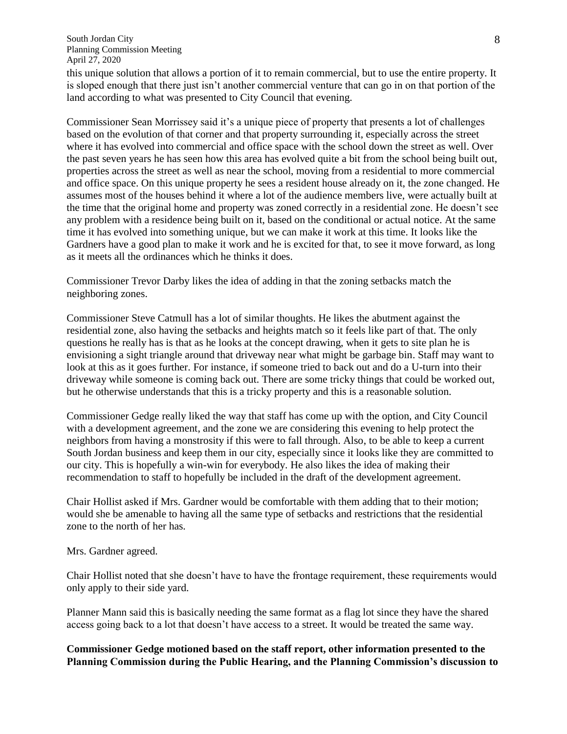this unique solution that allows a portion of it to remain commercial, but to use the entire property. It is sloped enough that there just isn't another commercial venture that can go in on that portion of the land according to what was presented to City Council that evening.

Commissioner Sean Morrissey said it's a unique piece of property that presents a lot of challenges based on the evolution of that corner and that property surrounding it, especially across the street where it has evolved into commercial and office space with the school down the street as well. Over the past seven years he has seen how this area has evolved quite a bit from the school being built out, properties across the street as well as near the school, moving from a residential to more commercial and office space. On this unique property he sees a resident house already on it, the zone changed. He assumes most of the houses behind it where a lot of the audience members live, were actually built at the time that the original home and property was zoned correctly in a residential zone. He doesn't see any problem with a residence being built on it, based on the conditional or actual notice. At the same time it has evolved into something unique, but we can make it work at this time. It looks like the Gardners have a good plan to make it work and he is excited for that, to see it move forward, as long as it meets all the ordinances which he thinks it does.

Commissioner Trevor Darby likes the idea of adding in that the zoning setbacks match the neighboring zones.

Commissioner Steve Catmull has a lot of similar thoughts. He likes the abutment against the residential zone, also having the setbacks and heights match so it feels like part of that. The only questions he really has is that as he looks at the concept drawing, when it gets to site plan he is envisioning a sight triangle around that driveway near what might be garbage bin. Staff may want to look at this as it goes further. For instance, if someone tried to back out and do a U-turn into their driveway while someone is coming back out. There are some tricky things that could be worked out, but he otherwise understands that this is a tricky property and this is a reasonable solution.

Commissioner Gedge really liked the way that staff has come up with the option, and City Council with a development agreement, and the zone we are considering this evening to help protect the neighbors from having a monstrosity if this were to fall through. Also, to be able to keep a current South Jordan business and keep them in our city, especially since it looks like they are committed to our city. This is hopefully a win-win for everybody. He also likes the idea of making their recommendation to staff to hopefully be included in the draft of the development agreement.

Chair Hollist asked if Mrs. Gardner would be comfortable with them adding that to their motion; would she be amenable to having all the same type of setbacks and restrictions that the residential zone to the north of her has.

Mrs. Gardner agreed.

Chair Hollist noted that she doesn't have to have the frontage requirement, these requirements would only apply to their side yard.

Planner Mann said this is basically needing the same format as a flag lot since they have the shared access going back to a lot that doesn't have access to a street. It would be treated the same way.

### **Commissioner Gedge motioned based on the staff report, other information presented to the Planning Commission during the Public Hearing, and the Planning Commission's discussion to**